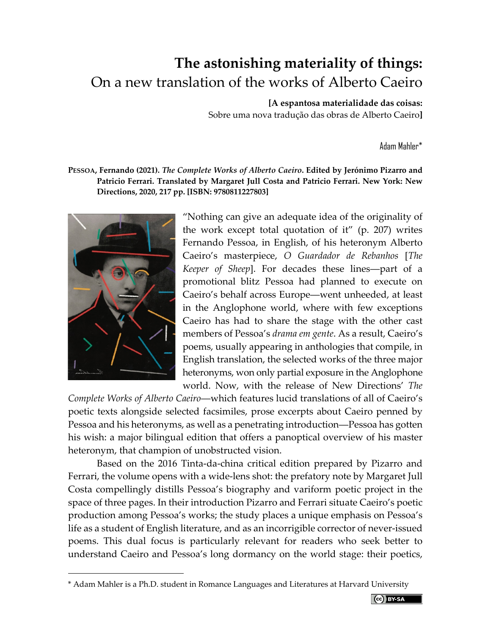## **The astonishing materiality of things:** On a new translation of the works of Alberto Caeiro

## **[A espantosa materialidade das coisas:**

Sobre uma nova tradução das obras de Alberto Caeiro**]**

Adam Mahler\*

## **PESSOA, Fernando (2021).** *The Complete Works of Alberto Caeiro***. Edited by Jerónimo Pizarro and Patricio Ferrari. Translated by Margaret Jull Costa and Patricio Ferrari. New York: New Directions, 2020, 217 pp. [ISBN: 9780811227803]**



"Nothing can give an adequate idea of the originality of the work except total quotation of it" (p. 207) writes Fernando Pessoa, in English, of his heteronym Alberto Caeiro's masterpiece, *O Guardador de Rebanhos* [*The Keeper of Sheep*]. For decades these lines―part of a promotional blitz Pessoa had planned to execute on Caeiro's behalf across Europe―went unheeded, at least in the Anglophone world, where with few exceptions Caeiro has had to share the stage with the other cast members of Pessoa's *drama em gente*. As a result, Caeiro's poems, usually appearing in anthologies that compile, in English translation, the selected works of the three major heteronyms, won only partial exposure in the Anglophone world. Now, with the release of New Directions' *The* 

*Complete Works of Alberto Caeiro*―which features lucid translations of all of Caeiro's poetic texts alongside selected facsimiles, prose excerpts about Caeiro penned by Pessoa and his heteronyms, as well as a penetrating introduction―Pessoa has gotten his wish: a major bilingual edition that offers a panoptical overview of his master heteronym, that champion of unobstructed vision.

Based on the 2016 Tinta-da-china critical edition prepared by Pizarro and Ferrari, the volume opens with a wide-lens shot: the prefatory note by Margaret Jull Costa compellingly distills Pessoa's biography and variform poetic project in the space of three pages. In their introduction Pizarro and Ferrari situate Caeiro's poetic production among Pessoa's works; the study places a unique emphasis on Pessoa's life as a student of English literature, and as an incorrigible corrector of never-issued poems. This dual focus is particularly relevant for readers who seek better to understand Caeiro and Pessoa's long dormancy on the world stage: their poetics,

<sup>\*</sup> Adam Mahler is a Ph.D. student in Romance Languages and Literatures at Harvard University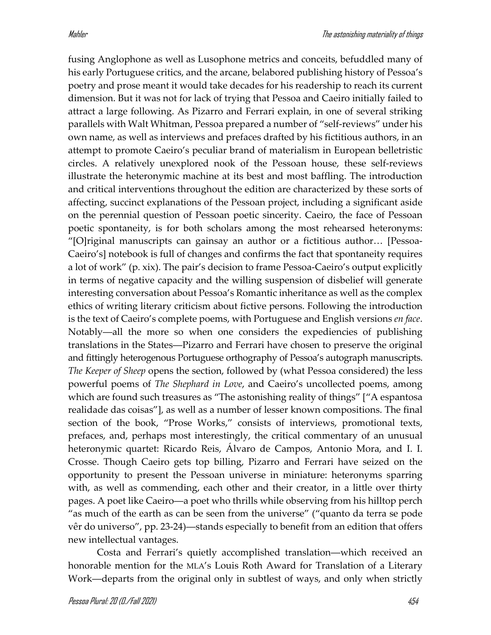fusing Anglophone as well as Lusophone metrics and conceits, befuddled many of his early Portuguese critics, and the arcane, belabored publishing history of Pessoa's poetry and prose meant it would take decades for his readership to reach its current dimension. But it was not for lack of trying that Pessoa and Caeiro initially failed to attract a large following. As Pizarro and Ferrari explain, in one of several striking parallels with Walt Whitman, Pessoa prepared a number of "self-reviews" under his own name, as well as interviews and prefaces drafted by his fictitious authors, in an attempt to promote Caeiro's peculiar brand of materialism in European belletristic circles. A relatively unexplored nook of the Pessoan house, these self-reviews illustrate the heteronymic machine at its best and most baffling. The introduction and critical interventions throughout the edition are characterized by these sorts of affecting, succinct explanations of the Pessoan project, including a significant aside on the perennial question of Pessoan poetic sincerity. Caeiro, the face of Pessoan poetic spontaneity, is for both scholars among the most rehearsed heteronyms: "[O]riginal manuscripts can gainsay an author or a fictitious author… [Pessoa-Caeiro's] notebook is full of changes and confirms the fact that spontaneity requires a lot of work" (p. xix). The pair's decision to frame Pessoa-Caeiro's output explicitly in terms of negative capacity and the willing suspension of disbelief will generate interesting conversation about Pessoa's Romantic inheritance as well as the complex ethics of writing literary criticism about fictive persons. Following the introduction is the text of Caeiro's complete poems, with Portuguese and English versions *en face*. Notably―all the more so when one considers the expediencies of publishing translations in the States―Pizarro and Ferrari have chosen to preserve the original and fittingly heterogenous Portuguese orthography of Pessoa's autograph manuscripts. *The Keeper of Sheep* opens the section, followed by (what Pessoa considered) the less powerful poems of *The Shephard in Love*, and Caeiro's uncollected poems, among which are found such treasures as "The astonishing reality of things" ["A espantosa realidade das coisas"], as well as a number of lesser known compositions. The final section of the book, "Prose Works," consists of interviews, promotional texts, prefaces, and, perhaps most interestingly, the critical commentary of an unusual heteronymic quartet: Ricardo Reis, Álvaro de Campos, Antonio Mora, and I. I. Crosse. Though Caeiro gets top billing, Pizarro and Ferrari have seized on the opportunity to present the Pessoan universe in miniature: heteronyms sparring with, as well as commending, each other and their creator, in a little over thirty pages. A poet like Caeiro―a poet who thrills while observing from his hilltop perch "as much of the earth as can be seen from the universe" ("quanto da terra se pode vêr do universo", pp. 23-24)―stands especially to benefit from an edition that offers new intellectual vantages.

Costa and Ferrari's quietly accomplished translation―which received an honorable mention for the MLA's Louis Roth Award for Translation of a Literary Work―departs from the original only in subtlest of ways, and only when strictly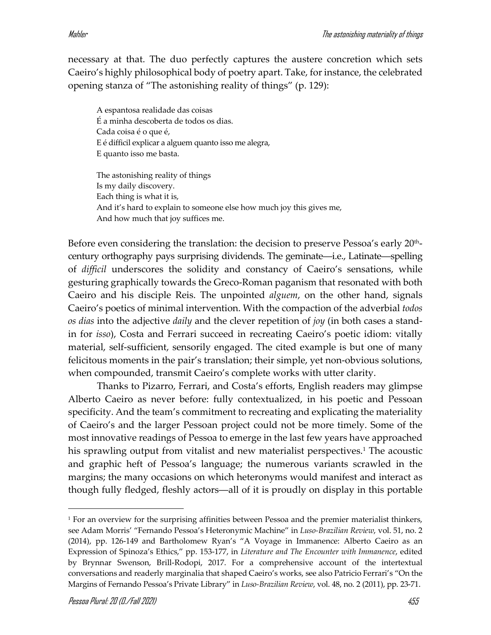necessary at that. The duo perfectly captures the austere concretion which sets Caeiro's highly philosophical body of poetry apart. Take, for instance, the celebrated opening stanza of "The astonishing reality of things" (p. 129):

A espantosa realidade das coisas É a minha descoberta de todos os dias. Cada coisa é o que é, E é difficil explicar a alguem quanto isso me alegra, E quanto isso me basta.

The astonishing reality of things Is my daily discovery. Each thing is what it is, And it's hard to explain to someone else how much joy this gives me, And how much that joy suffices me.

Before even considering the translation: the decision to preserve Pessoa's early  $20<sup>th</sup>$ century orthography pays surprising dividends. The geminate―i.e., Latinate―spelling of *difficil* underscores the solidity and constancy of Caeiro's sensations, while gesturing graphically towards the Greco-Roman paganism that resonated with both Caeiro and his disciple Reis. The unpointed *alguem*, on the other hand, signals Caeiro's poetics of minimal intervention. With the compaction of the adverbial *todos os dias* into the adjective *daily* and the clever repetition of *joy* (in both cases a standin for *isso*), Costa and Ferrari succeed in recreating Caeiro's poetic idiom: vitally material, self-sufficient, sensorily engaged. The cited example is but one of many felicitous moments in the pair's translation; their simple, yet non-obvious solutions, when compounded, transmit Caeiro's complete works with utter clarity.

Thanks to Pizarro, Ferrari, and Costa's efforts, English readers may glimpse Alberto Caeiro as never before: fully contextualized, in his poetic and Pessoan specificity. And the team's commitment to recreating and explicating the materiality of Caeiro's and the larger Pessoan project could not be more timely. Some of the most innovative readings of Pessoa to emerge in the last few years have approached his sprawling output from vitalist and new materialist perspectives.<sup>1</sup> The acoustic and graphic heft of Pessoa's language; the numerous variants scrawled in the margins; the many occasions on which heteronyms would manifest and interact as though fully fledged, fleshly actors―all of it is proudly on display in this portable

<sup>1</sup> For an overview for the surprising affinities between Pessoa and the premier materialist thinkers, see Adam Morris' "Fernando Pessoa's Heteronymic Machine" in *Luso-Brazilian Review*, vol. 51, no. 2 (2014), pp. 126-149 and Bartholomew Ryan's "A Voyage in Immanence: Alberto Caeiro as an Expression of Spinoza's Ethics," pp. 153-177, in *Literature and The Encounter with Immanence*, edited by Brynnar Swenson, Brill-Rodopi, 2017. For a comprehensive account of the intertextual conversations and readerly marginalia that shaped Caeiro's works, see also Patricio Ferrari's "On the Margins of Fernando Pessoa's Private Library" in *Luso-Brazilian Review*, vol. 48, no. 2 (2011), pp. 23-71.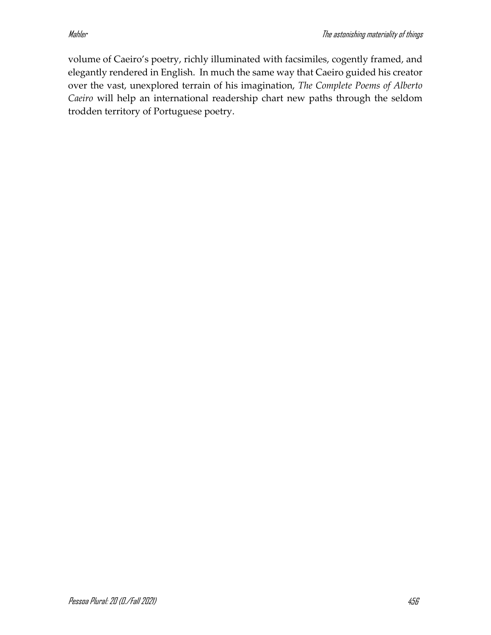volume of Caeiro's poetry, richly illuminated with facsimiles, cogently framed, and elegantly rendered in English. In much the same way that Caeiro guided his creator over the vast, unexplored terrain of his imagination, *The Complete Poems of Alberto Caeiro* will help an international readership chart new paths through the seldom trodden territory of Portuguese poetry.